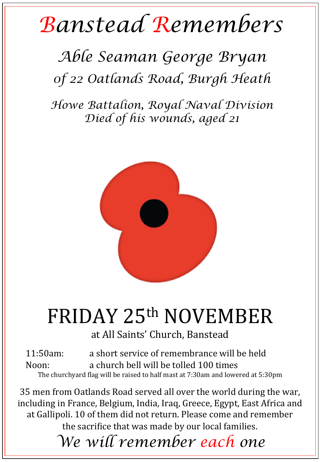## *Banstead Remembers*

## *Able Seaman George Bryan 0f 22 Oatlands Road, Burgh Heath*

*Howe Battalion, Royal Naval Division Died of his wounds, aged 21* 



## FRIDAY 25th NOVEMBER

at All Saints' Church, Banstead

11:50am: a short service of remembrance will be held Noon: a church bell will be tolled 100 times The churchyard flag will be raised to half mast at 7:30am and lowered at 5:30pm

35 men from Oatlands Road served all over the world during the war, including in France, Belgium, India, Iraq, Greece, Egypt, East Africa and at Gallipoli. 10 of them did not return. Please come and remember the sacrifice that was made by our local families.

*We will remember each one*